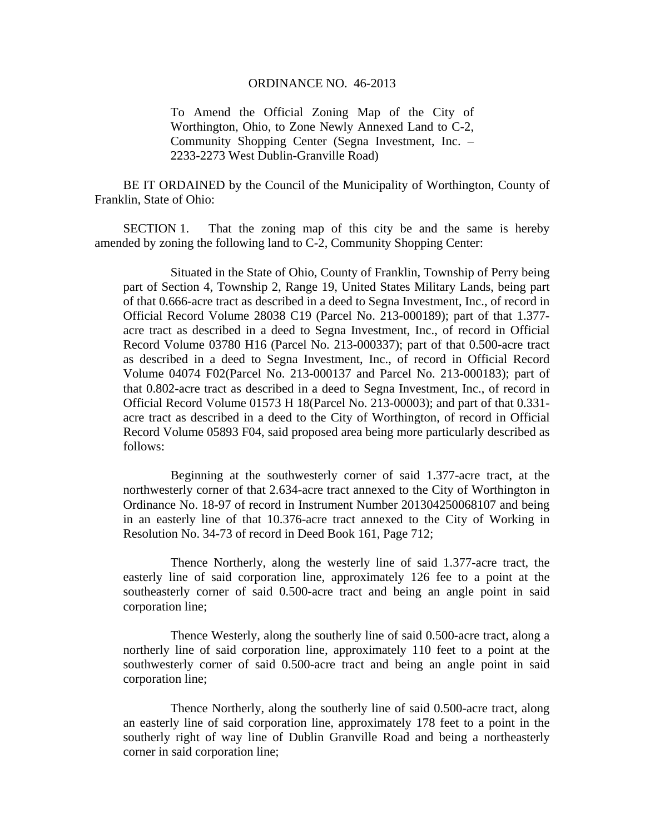## ORDINANCE NO. 46-2013

To Amend the Official Zoning Map of the City of Worthington, Ohio, to Zone Newly Annexed Land to C-2, Community Shopping Center (Segna Investment, Inc. – 2233-2273 West Dublin-Granville Road)

BE IT ORDAINED by the Council of the Municipality of Worthington, County of Franklin, State of Ohio:

SECTION 1. That the zoning map of this city be and the same is hereby amended by zoning the following land to C-2, Community Shopping Center:

 Situated in the State of Ohio, County of Franklin, Township of Perry being part of Section 4, Township 2, Range 19, United States Military Lands, being part of that 0.666-acre tract as described in a deed to Segna Investment, Inc., of record in Official Record Volume 28038 C19 (Parcel No. 213-000189); part of that 1.377 acre tract as described in a deed to Segna Investment, Inc., of record in Official Record Volume 03780 H16 (Parcel No. 213-000337); part of that 0.500-acre tract as described in a deed to Segna Investment, Inc., of record in Official Record Volume 04074 F02(Parcel No. 213-000137 and Parcel No. 213-000183); part of that 0.802-acre tract as described in a deed to Segna Investment, Inc., of record in Official Record Volume 01573 H 18(Parcel No. 213-00003); and part of that 0.331 acre tract as described in a deed to the City of Worthington, of record in Official Record Volume 05893 F04, said proposed area being more particularly described as follows:

Beginning at the southwesterly corner of said 1.377-acre tract, at the northwesterly corner of that 2.634-acre tract annexed to the City of Worthington in Ordinance No. 18-97 of record in Instrument Number 201304250068107 and being in an easterly line of that 10.376-acre tract annexed to the City of Working in Resolution No. 34-73 of record in Deed Book 161, Page 712;

Thence Northerly, along the westerly line of said 1.377-acre tract, the easterly line of said corporation line, approximately 126 fee to a point at the southeasterly corner of said 0.500-acre tract and being an angle point in said corporation line;

Thence Westerly, along the southerly line of said 0.500-acre tract, along a northerly line of said corporation line, approximately 110 feet to a point at the southwesterly corner of said 0.500-acre tract and being an angle point in said corporation line;

Thence Northerly, along the southerly line of said 0.500-acre tract, along an easterly line of said corporation line, approximately 178 feet to a point in the southerly right of way line of Dublin Granville Road and being a northeasterly corner in said corporation line;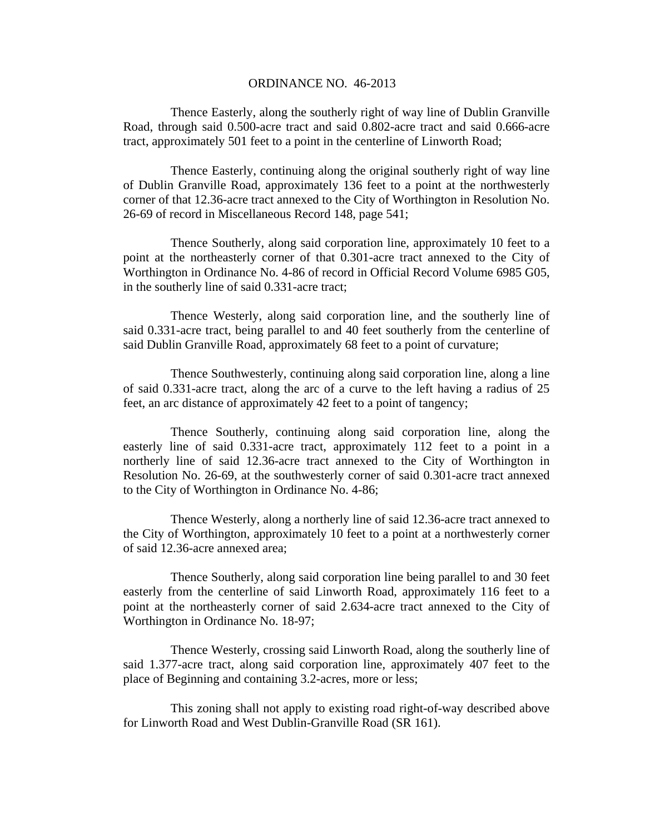## ORDINANCE NO. 46-2013

Thence Easterly, along the southerly right of way line of Dublin Granville Road, through said 0.500-acre tract and said 0.802-acre tract and said 0.666-acre tract, approximately 501 feet to a point in the centerline of Linworth Road;

Thence Easterly, continuing along the original southerly right of way line of Dublin Granville Road, approximately 136 feet to a point at the northwesterly corner of that 12.36-acre tract annexed to the City of Worthington in Resolution No. 26-69 of record in Miscellaneous Record 148, page 541;

Thence Southerly, along said corporation line, approximately 10 feet to a point at the northeasterly corner of that 0.301-acre tract annexed to the City of Worthington in Ordinance No. 4-86 of record in Official Record Volume 6985 G05, in the southerly line of said 0.331-acre tract;

Thence Westerly, along said corporation line, and the southerly line of said 0.331-acre tract, being parallel to and 40 feet southerly from the centerline of said Dublin Granville Road, approximately 68 feet to a point of curvature;

Thence Southwesterly, continuing along said corporation line, along a line of said 0.331-acre tract, along the arc of a curve to the left having a radius of 25 feet, an arc distance of approximately 42 feet to a point of tangency;

Thence Southerly, continuing along said corporation line, along the easterly line of said 0.331-acre tract, approximately 112 feet to a point in a northerly line of said 12.36-acre tract annexed to the City of Worthington in Resolution No. 26-69, at the southwesterly corner of said 0.301-acre tract annexed to the City of Worthington in Ordinance No. 4-86;

Thence Westerly, along a northerly line of said 12.36-acre tract annexed to the City of Worthington, approximately 10 feet to a point at a northwesterly corner of said 12.36-acre annexed area;

Thence Southerly, along said corporation line being parallel to and 30 feet easterly from the centerline of said Linworth Road, approximately 116 feet to a point at the northeasterly corner of said 2.634-acre tract annexed to the City of Worthington in Ordinance No. 18-97;

Thence Westerly, crossing said Linworth Road, along the southerly line of said 1.377-acre tract, along said corporation line, approximately 407 feet to the place of Beginning and containing 3.2-acres, more or less;

This zoning shall not apply to existing road right-of-way described above for Linworth Road and West Dublin-Granville Road (SR 161).